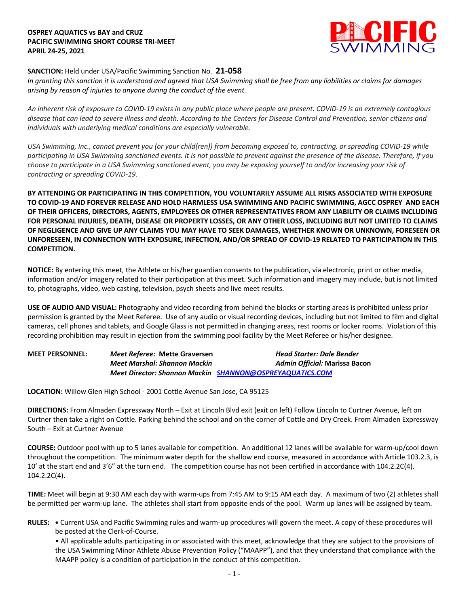## **OSPREY AQUATICS vs BAY and CRUZ PACIFIC SWIMMING SHORT COURSE TRI-MEET APRIL 24-25, 2021**



## **SANCTION:** Held under USA/Pacific Swimming Sanction No. **21-058**

*In granting this sanction it is understood and agreed that USA Swimming shall be free from any liabilities or claims for damages arising by reason of injuries to anyone during the conduct of the event.* 

*An inherent risk of exposure to COVID-19 exists in any public place where people are present. COVID-19 is an extremely contagious disease that can lead to severe illness and death. According to the Centers for Disease Control and Prevention, senior citizens and individuals with underlying medical conditions are especially vulnerable.*

*USA Swimming, Inc., cannot prevent you (or your child(ren)) from becoming exposed to, contracting, or spreading COVID-19 while participating in USA Swimming sanctioned events. It is not possible to prevent against the presence of the disease. Therefore, if you choose to participate in a USA Swimming sanctioned event, you may be exposing yourself to and/or increasing your risk of contracting or spreading COVID-19.*

**BY ATTENDING OR PARTICIPATING IN THIS COMPETITION, YOU VOLUNTARILY ASSUME ALL RISKS ASSOCIATED WITH EXPOSURE TO COVID-19 AND FOREVER RELEASE AND HOLD HARMLESS USA SWIMMING AND PACIFIC SWIMMING, AGCC OSPREY AND EACH OF THEIR OFFICERS, DIRECTORS, AGENTS, EMPLOYEES OR OTHER REPRESENTATIVES FROM ANY LIABILITY OR CLAIMS INCLUDING FOR PERSONAL INJURIES, DEATH, DISEASE OR PROPERTY LOSSES, OR ANY OTHER LOSS, INCLUDING BUT NOT LIMITED TO CLAIMS OF NEGLIGENCE AND GIVE UP ANY CLAIMS YOU MAY HAVE TO SEEK DAMAGES, WHETHER KNOWN OR UNKNOWN, FORESEEN OR UNFORESEEN, IN CONNECTION WITH EXPOSURE, INFECTION, AND/OR SPREAD OF COVID-19 RELATED TO PARTICIPATION IN THIS COMPETITION.**

**NOTICE:** By entering this meet, the Athlete or his/her guardian consents to the publication, via electronic, print or other media, information and/or imagery related to their participation at this meet. Such information and imagery may include, but is not limited to, photographs, video, web casting, television, psych sheets and live meet results.

**USE OF AUDIO AND VISUAL:** Photography and video recording from behind the blocks or starting areas is prohibited unless prior permission is granted by the Meet Referee. Use of any audio or visual recording devices, including but not limited to film and digital cameras, cell phones and tablets, and Google Glass is not permitted in changing areas, rest rooms or locker rooms. Violation of this recording prohibition may result in ejection from the swimming pool facility by the Meet Referee or his/her designee.

| <b>MEET PERSONNEL:</b> | Meet Referee: Mette Graversen | Head Starter: Dale Bender                                       |
|------------------------|-------------------------------|-----------------------------------------------------------------|
|                        | Meet Marshal: Shannon Mackin  | Admin Official: Marissa Bacon                                   |
|                        |                               | <b>Meet Director: Shannon Mackin SHANNON@OSPREYAQUATICS.COM</b> |

**LOCATION:** Willow Glen High School - 2001 Cottle Avenue San Jose, CA 95125

**DIRECTIONS:** From Almaden Expressway North – Exit at Lincoln Blvd exit (exit on left) Follow Lincoln to Curtner Avenue, left on Curtner then take a right on Cottle. Parking behind the school and on the corner of Cottle and Dry Creek. From Almaden Expressway South – Exit at Curtner Avenue

**COURSE:** Outdoor pool with up to 5 lanes available for competition. An additional 12 lanes will be available for warm-up/cool down throughout the competition. The minimum water depth for the shallow end course, measured in accordance with Article 103.2.3, is 10' at the start end and 3'6" at the turn end. The competition course has not been certified in accordance with 104.2.2C(4). 104.2.2C(4).

**TIME:** Meet will begin at 9:30 AM each day with warm-ups from 7:45 AM to 9:15 AM each day. A maximum of two (2) athletes shall be permitted per warm-up lane. The athletes shall start from opposite ends of the pool. Warm up lanes will be assigned by team.

**RULES: •** Current USA and Pacific Swimming rules and warm-up procedures will govern the meet. A copy of these procedures will be posted at the Clerk-of-Course.

• All applicable adults participating in or associated with this meet, acknowledge that they are subject to the provisions of the USA Swimming Minor Athlete Abuse Prevention Policy ("MAAPP"), and that they understand that compliance with the MAAPP policy is a condition of participation in the conduct of this competition.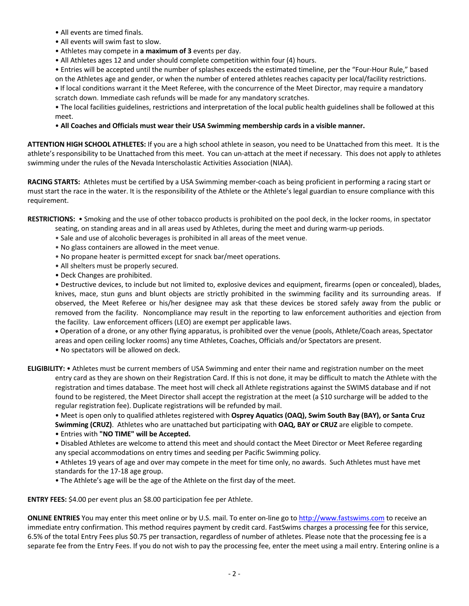- All events are timed finals.
- All events will swim fast to slow.
- Athletes may compete in **a maximum of 3** events per day.
- All Athletes ages 12 and under should complete competition within four (4) hours.

• Entries will be accepted until the number of splashes exceeds the estimated timeline, per the "Four-Hour Rule," based on the Athletes age and gender, or when the number of entered athletes reaches capacity per local/facility restrictions. **•** If local conditions warrant it the Meet Referee, with the concurrence of the Meet Director, may require a mandatory

scratch down. Immediate cash refunds will be made for any mandatory scratches.

• The local facilities guidelines, restrictions and interpretation of the local public health guidelines shall be followed at this meet.

## • **All Coaches and Officials must wear their USA Swimming membership cards in a visible manner.**

**ATTENTION HIGH SCHOOL ATHLETES:** If you are a high school athlete in season, you need to be Unattached from this meet. It is the athlete's responsibility to be Unattached from this meet. You can un-attach at the meet if necessary. This does not apply to athletes swimming under the rules of the Nevada Interscholastic Activities Association (NIAA).

**RACING STARTS:** Athletes must be certified by a USA Swimming member-coach as being proficient in performing a racing start or must start the race in the water. It is the responsibility of the Athlete or the Athlete's legal guardian to ensure compliance with this requirement.

**RESTRICTIONS:** • Smoking and the use of other tobacco products is prohibited on the pool deck, in the locker rooms, in spectator

- seating, on standing areas and in all areas used by Athletes, during the meet and during warm-up periods.
- Sale and use of alcoholic beverages is prohibited in all areas of the meet venue.
- No glass containers are allowed in the meet venue.
- No propane heater is permitted except for snack bar/meet operations.
- All shelters must be properly secured.
- Deck Changes are prohibited.

• Destructive devices, to include but not limited to, explosive devices and equipment, firearms (open or concealed), blades, knives, mace, stun guns and blunt objects are strictly prohibited in the swimming facility and its surrounding areas. If observed, the Meet Referee or his/her designee may ask that these devices be stored safely away from the public or removed from the facility. Noncompliance may result in the reporting to law enforcement authorities and ejection from the facility. Law enforcement officers (LEO) are exempt per applicable laws.

• Operation of a drone, or any other flying apparatus, is prohibited over the venue (pools, Athlete/Coach areas, Spectator areas and open ceiling locker rooms) any time Athletes, Coaches, Officials and/or Spectators are present.

• No spectators will be allowed on deck.

**ELIGIBILITY:** • Athletes must be current members of USA Swimming and enter their name and registration number on the meet entry card as they are shown on their Registration Card. If this is not done, it may be difficult to match the Athlete with the registration and times database. The meet host will check all Athlete registrations against the SWIMS database and if not found to be registered, the Meet Director shall accept the registration at the meet (a \$10 surcharge will be added to the regular registration fee). Duplicate registrations will be refunded by mail.

• Meet is open only to qualified athletes registered with **Osprey Aquatics (OAQ), Swim South Bay (BAY), or Santa Cruz Swimming (CRUZ)**. Athletes who are unattached but participating with **OAQ, BAY or CRUZ** are eligible to compete.

• Entries with **"NO TIME" will be Accepted.**

• Disabled Athletes are welcome to attend this meet and should contact the Meet Director or Meet Referee regarding any special accommodations on entry times and seeding per Pacific Swimming policy.

• Athletes 19 years of age and over may compete in the meet for time only, no awards. Such Athletes must have met standards for the 17-18 age group.

• The Athlete's age will be the age of the Athlete on the first day of the meet.

**ENTRY FEES:** \$4.00 per event plus an \$8.00 participation fee per Athlete.

**ONLINE ENTRIES** You may enter this meet online or by U.S. mail. To enter on-line go to http://www.fastswims.com to receive an immediate entry confirmation. This method requires payment by credit card. FastSwims charges a processing fee for this service, 6.5% of the total Entry Fees plus \$0.75 per transaction, regardless of number of athletes. Please note that the processing fee is a separate fee from the Entry Fees. If you do not wish to pay the processing fee, enter the meet using a mail entry. Entering online is a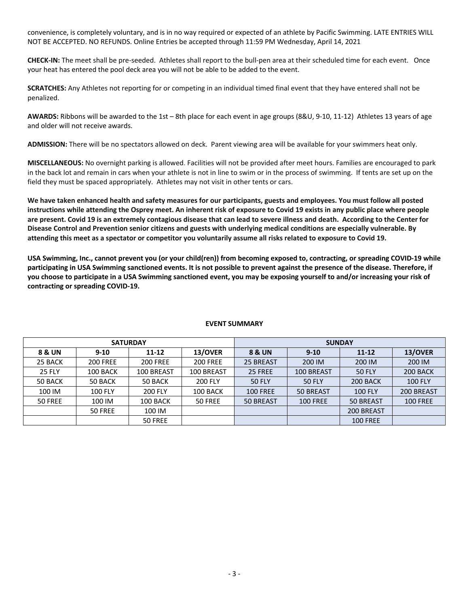convenience, is completely voluntary, and is in no way required or expected of an athlete by Pacific Swimming. LATE ENTRIES WILL NOT BE ACCEPTED. NO REFUNDS. Online Entries be accepted through 11:59 PM Wednesday, April 14, 2021

**CHECK-IN:** The meet shall be pre-seeded. Athletes shall report to the bull-pen area at their scheduled time for each event. Once your heat has entered the pool deck area you will not be able to be added to the event.

**SCRATCHES:** Any Athletes not reporting for or competing in an individual timed final event that they have entered shall not be penalized.

**AWARDS:** Ribbons will be awarded to the 1st – 8th place for each event in age groups (8&U, 9-10, 11-12) Athletes 13 years of age and older will not receive awards.

**ADMISSION:** There will be no spectators allowed on deck. Parent viewing area will be available for your swimmers heat only.

**MISCELLANEOUS:** No overnight parking is allowed. Facilities will not be provided after meet hours. Families are encouraged to park in the back lot and remain in cars when your athlete is not in line to swim or in the process of swimming. If tents are set up on the field they must be spaced appropriately. Athletes may not visit in other tents or cars.

**We have taken enhanced health and safety measures for our participants, guests and employees. You must follow all posted instructions while attending the Osprey meet. An inherent risk of exposure to Covid 19 exists in any public place where people are present. Covid 19 is an extremely contagious disease that can lead to severe illness and death. According to the Center for Disease Control and Prevention senior citizens and guests with underlying medical conditions are especially vulnerable. By attending this meet as a spectator or competitor you voluntarily assume all risks related to exposure to Covid 19.**

**USA Swimming, Inc., cannot prevent you (or your child(ren)) from becoming exposed to, contracting, or spreading COVID-19 while participating in USA Swimming sanctioned events. It is not possible to prevent against the presence of the disease. Therefore, if you choose to participate in a USA Swimming sanctioned event, you may be exposing yourself to and/or increasing your risk of contracting or spreading COVID-19.** 

|               | <b>SATURDAY</b> |                  |                 | <b>SUNDAY</b>                |                 |                 |                 |  |  |  |
|---------------|-----------------|------------------|-----------------|------------------------------|-----------------|-----------------|-----------------|--|--|--|
| 8 & UN        | $9 - 10$        | 13/OVER<br>11-12 |                 | 8 & UN                       | $9 - 10$        | $11 - 12$       | 13/OVER         |  |  |  |
| 25 BACK       | <b>200 FREE</b> | <b>200 FREE</b>  | <b>200 FREE</b> | 25 BREAST<br>200 IM          |                 | 200 IM          | 200 IM          |  |  |  |
| <b>25 FLY</b> | 100 BACK        | 100 BREAST       | 100 BREAST      | 25 FREE<br><b>100 BREAST</b> |                 | <b>50 FLY</b>   | 200 BACK        |  |  |  |
| 50 BACK       | 50 BACK         | 50 BACK          | 200 FLY         | <b>50 FLY</b>                | <b>50 FLY</b>   | 200 BACK        | <b>100 FLY</b>  |  |  |  |
| 100 IM        | <b>100 FLY</b>  | <b>200 FLY</b>   | 100 BACK        | <b>100 FREE</b>              | 50 BREAST       | <b>100 FLY</b>  | 200 BREAST      |  |  |  |
| 50 FREE       | 100 IM          | 100 BACK         | 50 FREE         | 50 BREAST                    | <b>100 FREE</b> |                 | <b>100 FREE</b> |  |  |  |
|               | 50 FREE         | 100 IM           |                 |                              |                 | 200 BREAST      |                 |  |  |  |
|               |                 | 50 FREE          |                 |                              |                 | <b>100 FREE</b> |                 |  |  |  |

## **EVENT SUMMARY**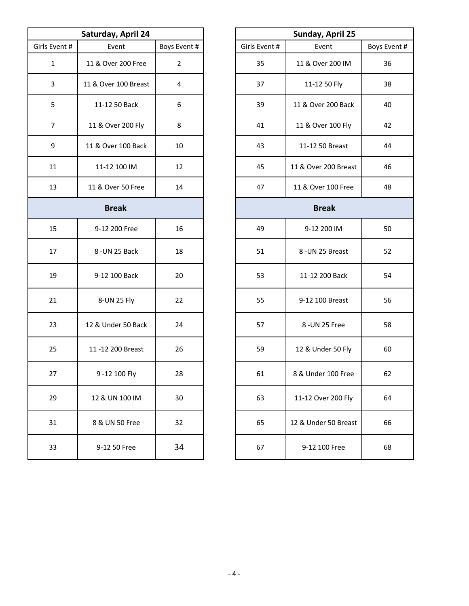|                | Saturday, April 24   |                | Sunday, April 25 |                      |
|----------------|----------------------|----------------|------------------|----------------------|
| Girls Event #  | Event                | Boys Event #   | Girls Event #    | Event                |
| $\mathbf{1}$   | 11 & Over 200 Free   | $\overline{2}$ | 35               | 11 & Over 200 IM     |
| 3              | 11 & Over 100 Breast | 4              | 37               | 11-12 50 Fly         |
| 5              | 11-12 50 Back        | 6              | 39               | 11 & Over 200 Back   |
| $\overline{7}$ | 11 & Over 200 Fly    | 8              | 41               | 11 & Over 100 Fly    |
| 9              | 11 & Over 100 Back   | 10             | 43               | 11-12 50 Breast      |
| 11             | 11-12 100 IM         | 12             | 45               | 11 & Over 200 Breast |
| 13             | 11 & Over 50 Free    | 14             | 47               | 11 & Over 100 Free   |
|                | <b>Break</b>         |                |                  | <b>Break</b>         |
| 15             | 9-12 200 Free        | 16             | 49               | 9-12 200 IM          |
| 17             | 8-UN 25 Back         | 18             | 51               | 8-UN 25 Breast       |
| 19             | 9-12 100 Back        | 20             | 53               | 11-12 200 Back       |
| 21             | 8-UN 25 Fly          | 22             | 55               | 9-12 100 Breast      |
| 23             | 12 & Under 50 Back   | 24             | 57               | 8 - UN 25 Free       |
| 25             | 11 -12 200 Breast    | 26             | 59               | 12 & Under 50 Fly    |
| 27             | 9-12 100 Fly         | 28             | 61               | 8 & Under 100 Free   |
| 29             | 12 & UN 100 IM       | 30             | 63               | 11-12 Over 200 Fly   |
| 31             | 8 & UN 50 Free       | 32             | 65               | 12 & Under 50 Breas  |
| 33             | 9-12 50 Free         | 34             | 67               | 9-12 100 Free        |

|                | Saturday, April 24   |                |               | Sunday, April 25     |              |
|----------------|----------------------|----------------|---------------|----------------------|--------------|
| Girls Event #  | Event                | Boys Event #   | Girls Event # | Event                | Boys Event # |
| $\mathbf{1}$   | 11 & Over 200 Free   | $\overline{2}$ | 35            | 11 & Over 200 IM     | 36           |
| 3              | 11 & Over 100 Breast | 4              | 37            | 11-12 50 Fly         | 38           |
| 5              | 11-12 50 Back        | 6              | 39            | 11 & Over 200 Back   | 40           |
| $\overline{7}$ | 11 & Over 200 Fly    | 8              | 41            | 11 & Over 100 Fly    | 42           |
| 9              | 11 & Over 100 Back   | 10             | 43            | 11-12 50 Breast      | 44           |
| 11             | 11-12 100 IM         | 12             | 45            | 11 & Over 200 Breast | 46           |
| 13             | 11 & Over 50 Free    | 14             | 47            | 11 & Over 100 Free   | 48           |
|                | <b>Break</b>         |                |               | <b>Break</b>         |              |
| 15             | 9-12 200 Free        | 16             | 49            | 9-12 200 IM          | 50           |
| 17             | 8-UN 25 Back         | 18             | 51            | 8-UN 25 Breast       | 52           |
| 19             | 9-12 100 Back        | 20             | 53            | 11-12 200 Back       | 54           |
| 21             | 8-UN 25 Fly          | 22             | 55            | 9-12 100 Breast      | 56           |
| 23             | 12 & Under 50 Back   | 24             | 57            | 8 - UN 25 Free       | 58           |
| 25             | 11-12 200 Breast     | 26             | 59            | 12 & Under 50 Fly    | 60           |
| 27             | 9-12 100 Fly         | 28             | 61            | 8 & Under 100 Free   | 62           |
| 29             | 12 & UN 100 IM       | 30             | 63            | 11-12 Over 200 Fly   | 64           |
| 31             | 8 & UN 50 Free       | 32             | 65            | 12 & Under 50 Breast | 66           |
| 33             | 9-12 50 Free         | 34             | 67            | 9-12 100 Free        | 68           |